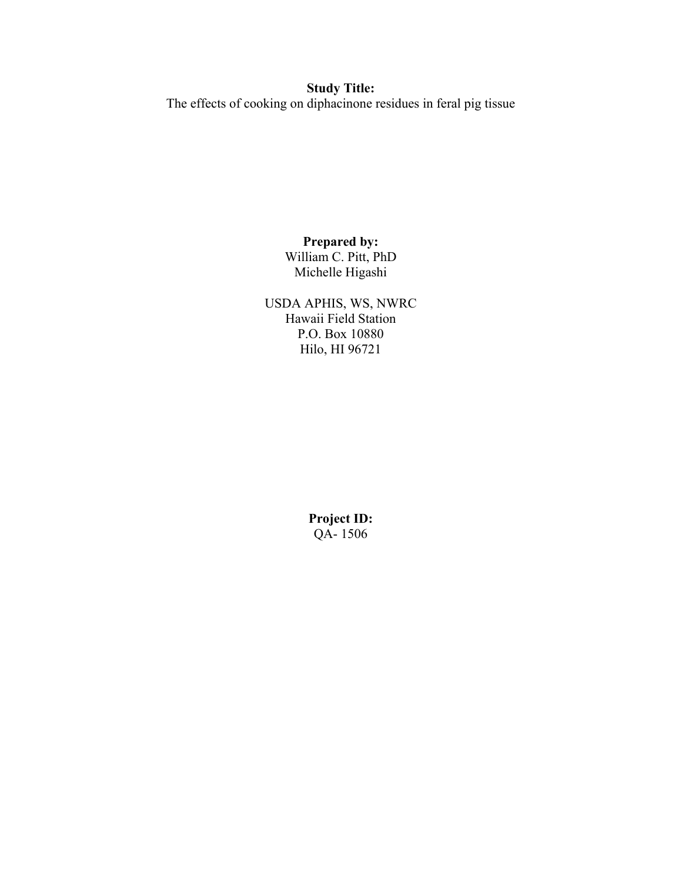## **Study Title:** The effects of cooking on diphacinone residues in feral pig tissue

## **Prepared by:** William C. Pitt, PhD

Michelle Higashi

USDA APHIS, WS, NWRC Hawaii Field Station P.O. Box 10880 Hilo, HI 96721

> **Project ID:** QA- 1506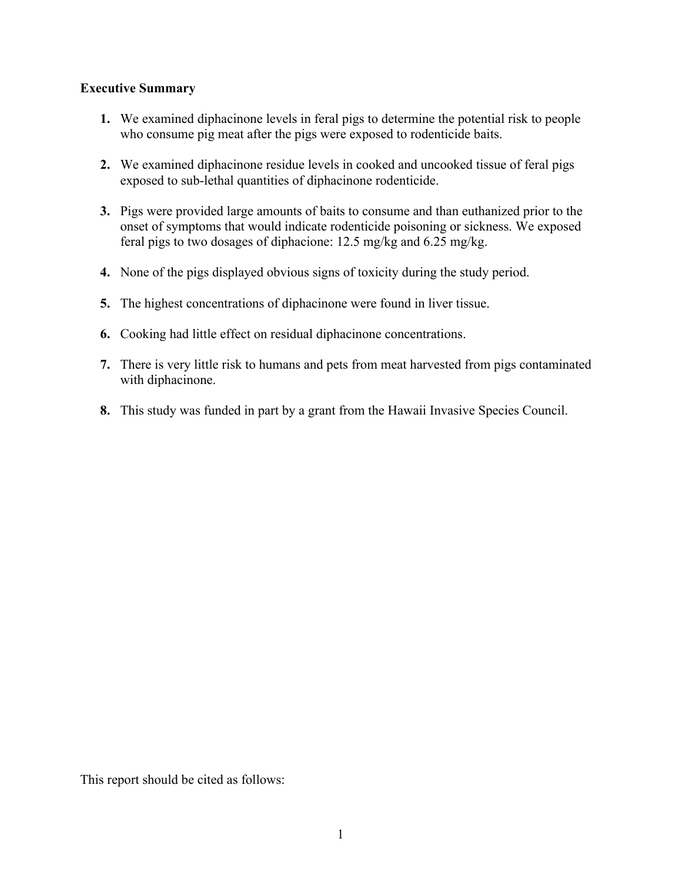## **Executive Summary**

- **1.** We examined diphacinone levels in feral pigs to determine the potential risk to people who consume pig meat after the pigs were exposed to rodenticide baits.
- **2.** We examined diphacinone residue levels in cooked and uncooked tissue of feral pigs exposed to sub-lethal quantities of diphacinone rodenticide.
- **3.** Pigs were provided large amounts of baits to consume and than euthanized prior to the onset of symptoms that would indicate rodenticide poisoning or sickness. We exposed feral pigs to two dosages of diphacione: 12.5 mg/kg and 6.25 mg/kg.
- **4.** None of the pigs displayed obvious signs of toxicity during the study period.
- **5.** The highest concentrations of diphacinone were found in liver tissue.
- **6.** Cooking had little effect on residual diphacinone concentrations.
- **7.** There is very little risk to humans and pets from meat harvested from pigs contaminated with diphacinone.
- **8.** This study was funded in part by a grant from the Hawaii Invasive Species Council.

This report should be cited as follows: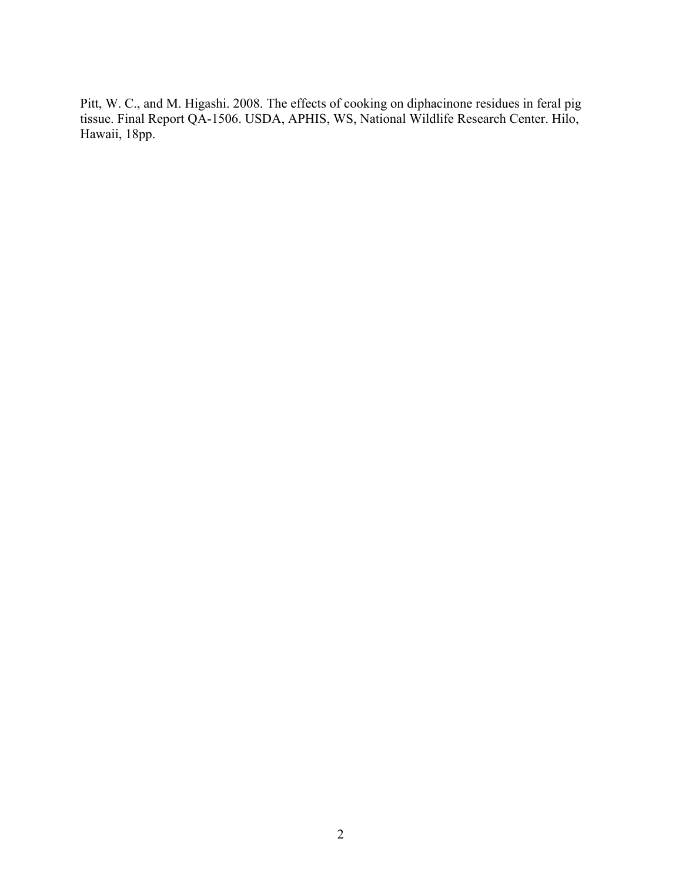Pitt, W. C., and M. Higashi. 2008. The effects of cooking on diphacinone residues in feral pig tissue. Final Report QA-1506. USDA, APHIS, WS, National Wildlife Research Center. Hilo, Hawaii, 18pp.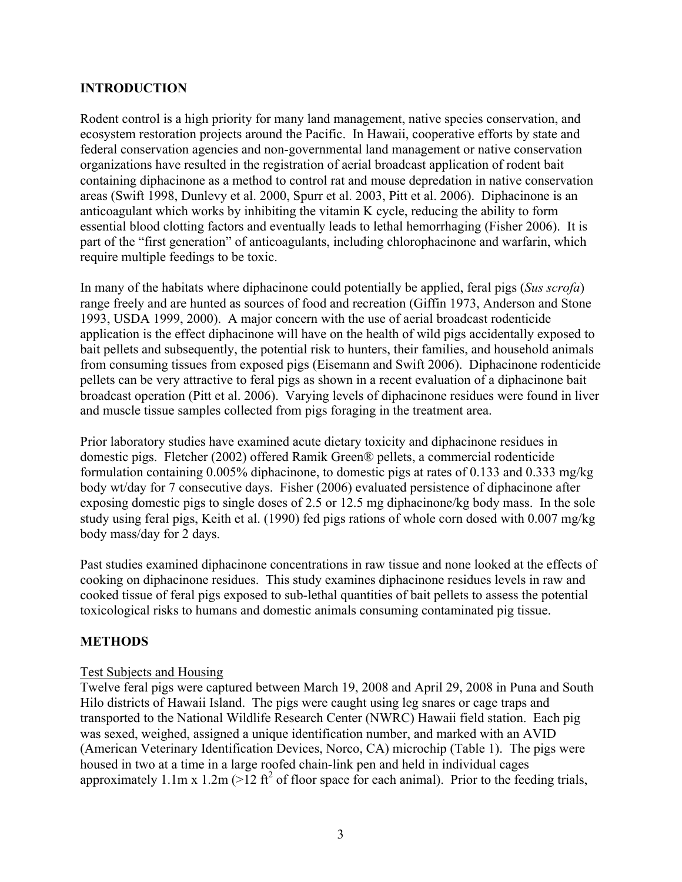## **INTRODUCTION**

Rodent control is a high priority for many land management, native species conservation, and ecosystem restoration projects around the Pacific. In Hawaii, cooperative efforts by state and federal conservation agencies and non-governmental land management or native conservation organizations have resulted in the registration of aerial broadcast application of rodent bait containing diphacinone as a method to control rat and mouse depredation in native conservation areas (Swift 1998, Dunlevy et al. 2000, Spurr et al. 2003, Pitt et al. 2006). Diphacinone is an anticoagulant which works by inhibiting the vitamin K cycle, reducing the ability to form essential blood clotting factors and eventually leads to lethal hemorrhaging (Fisher 2006). It is part of the "first generation" of anticoagulants, including chlorophacinone and warfarin, which require multiple feedings to be toxic.

In many of the habitats where diphacinone could potentially be applied, feral pigs (*Sus scrofa*) range freely and are hunted as sources of food and recreation (Giffin 1973, Anderson and Stone 1993, USDA 1999, 2000). A major concern with the use of aerial broadcast rodenticide application is the effect diphacinone will have on the health of wild pigs accidentally exposed to bait pellets and subsequently, the potential risk to hunters, their families, and household animals from consuming tissues from exposed pigs (Eisemann and Swift 2006). Diphacinone rodenticide pellets can be very attractive to feral pigs as shown in a recent evaluation of a diphacinone bait broadcast operation (Pitt et al. 2006). Varying levels of diphacinone residues were found in liver and muscle tissue samples collected from pigs foraging in the treatment area.

Prior laboratory studies have examined acute dietary toxicity and diphacinone residues in domestic pigs. Fletcher (2002) offered Ramik Green® pellets, a commercial rodenticide formulation containing 0.005% diphacinone, to domestic pigs at rates of 0.133 and 0.333 mg/kg body wt/day for 7 consecutive days. Fisher (2006) evaluated persistence of diphacinone after exposing domestic pigs to single doses of 2.5 or 12.5 mg diphacinone/kg body mass. In the sole study using feral pigs, Keith et al. (1990) fed pigs rations of whole corn dosed with 0.007 mg/kg body mass/day for 2 days.

Past studies examined diphacinone concentrations in raw tissue and none looked at the effects of cooking on diphacinone residues. This study examines diphacinone residues levels in raw and cooked tissue of feral pigs exposed to sub-lethal quantities of bait pellets to assess the potential toxicological risks to humans and domestic animals consuming contaminated pig tissue.

## **METHODS**

#### Test Subjects and Housing

Twelve feral pigs were captured between March 19, 2008 and April 29, 2008 in Puna and South Hilo districts of Hawaii Island. The pigs were caught using leg snares or cage traps and transported to the National Wildlife Research Center (NWRC) Hawaii field station. Each pig was sexed, weighed, assigned a unique identification number, and marked with an AVID (American Veterinary Identification Devices, Norco, CA) microchip (Table 1). The pigs were housed in two at a time in a large roofed chain-link pen and held in individual cages approximately 1.1m x 1.2m ( $>12 \text{ ft}^2$  of floor space for each animal). Prior to the feeding trials,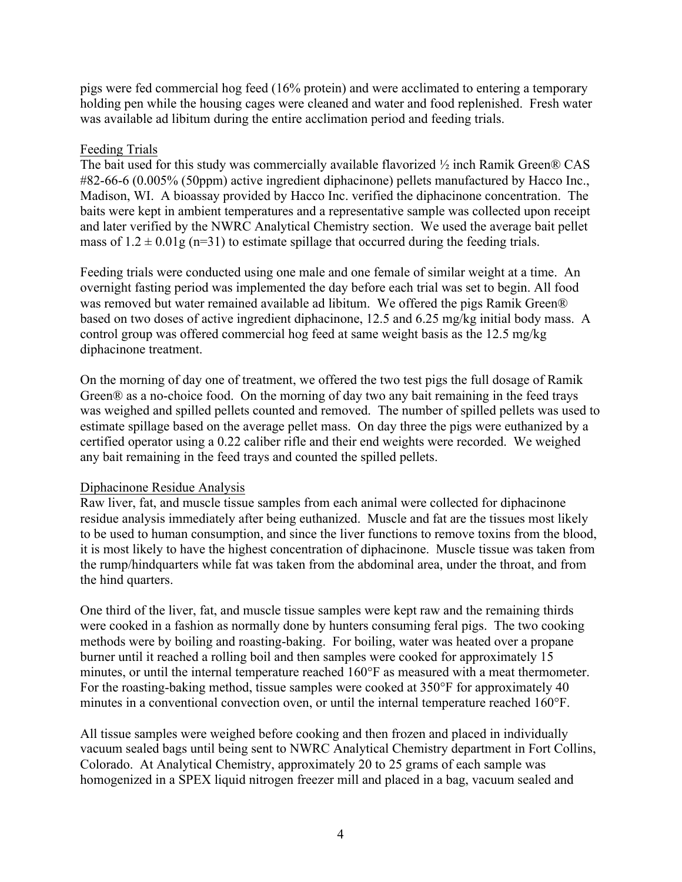pigs were fed commercial hog feed (16% protein) and were acclimated to entering a temporary holding pen while the housing cages were cleaned and water and food replenished. Fresh water was available ad libitum during the entire acclimation period and feeding trials.

## Feeding Trials

The bait used for this study was commercially available flavorized ½ inch Ramik Green® CAS #82-66-6 (0.005% (50ppm) active ingredient diphacinone) pellets manufactured by Hacco Inc., Madison, WI. A bioassay provided by Hacco Inc. verified the diphacinone concentration. The baits were kept in ambient temperatures and a representative sample was collected upon receipt and later verified by the NWRC Analytical Chemistry section. We used the average bait pellet mass of  $1.2 \pm 0.01$ g (n=31) to estimate spillage that occurred during the feeding trials.

Feeding trials were conducted using one male and one female of similar weight at a time. An overnight fasting period was implemented the day before each trial was set to begin. All food was removed but water remained available ad libitum. We offered the pigs Ramik Green® based on two doses of active ingredient diphacinone, 12.5 and 6.25 mg/kg initial body mass. A control group was offered commercial hog feed at same weight basis as the 12.5 mg/kg diphacinone treatment.

On the morning of day one of treatment, we offered the two test pigs the full dosage of Ramik Green® as a no-choice food. On the morning of day two any bait remaining in the feed trays was weighed and spilled pellets counted and removed. The number of spilled pellets was used to estimate spillage based on the average pellet mass. On day three the pigs were euthanized by a certified operator using a 0.22 caliber rifle and their end weights were recorded. We weighed any bait remaining in the feed trays and counted the spilled pellets.

#### Diphacinone Residue Analysis

Raw liver, fat, and muscle tissue samples from each animal were collected for diphacinone residue analysis immediately after being euthanized. Muscle and fat are the tissues most likely to be used to human consumption, and since the liver functions to remove toxins from the blood, it is most likely to have the highest concentration of diphacinone. Muscle tissue was taken from the rump/hindquarters while fat was taken from the abdominal area, under the throat, and from the hind quarters.

One third of the liver, fat, and muscle tissue samples were kept raw and the remaining thirds were cooked in a fashion as normally done by hunters consuming feral pigs. The two cooking methods were by boiling and roasting-baking. For boiling, water was heated over a propane burner until it reached a rolling boil and then samples were cooked for approximately 15 minutes, or until the internal temperature reached 160°F as measured with a meat thermometer. For the roasting-baking method, tissue samples were cooked at 350°F for approximately 40 minutes in a conventional convection oven, or until the internal temperature reached 160°F.

All tissue samples were weighed before cooking and then frozen and placed in individually vacuum sealed bags until being sent to NWRC Analytical Chemistry department in Fort Collins, Colorado. At Analytical Chemistry, approximately 20 to 25 grams of each sample was homogenized in a SPEX liquid nitrogen freezer mill and placed in a bag, vacuum sealed and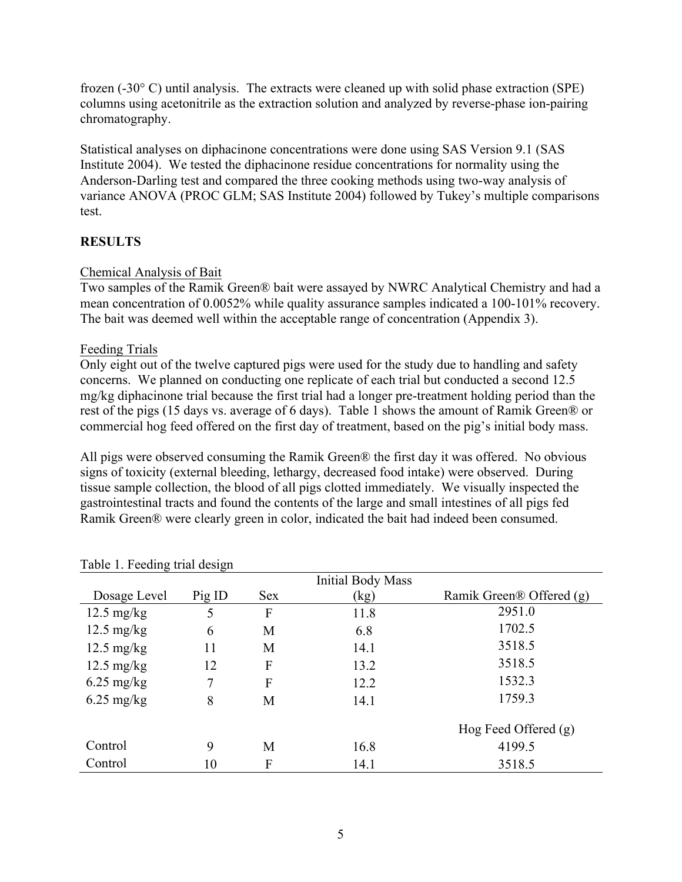frozen (-30° C) until analysis. The extracts were cleaned up with solid phase extraction (SPE) columns using acetonitrile as the extraction solution and analyzed by reverse-phase ion-pairing chromatography.

Statistical analyses on diphacinone concentrations were done using SAS Version 9.1 (SAS Institute 2004). We tested the diphacinone residue concentrations for normality using the Anderson-Darling test and compared the three cooking methods using two-way analysis of variance ANOVA (PROC GLM; SAS Institute 2004) followed by Tukey's multiple comparisons test.

## **RESULTS**

## Chemical Analysis of Bait

Two samples of the Ramik Green® bait were assayed by NWRC Analytical Chemistry and had a mean concentration of 0.0052% while quality assurance samples indicated a 100-101% recovery. The bait was deemed well within the acceptable range of concentration (Appendix 3).

### Feeding Trials

Only eight out of the twelve captured pigs were used for the study due to handling and safety concerns. We planned on conducting one replicate of each trial but conducted a second 12.5 mg/kg diphacinone trial because the first trial had a longer pre-treatment holding period than the rest of the pigs (15 days vs. average of 6 days). Table 1 shows the amount of Ramik Green® or commercial hog feed offered on the first day of treatment, based on the pig's initial body mass.

All pigs were observed consuming the Ramik Green® the first day it was offered. No obvious signs of toxicity (external bleeding, lethargy, decreased food intake) were observed. During tissue sample collection, the blood of all pigs clotted immediately. We visually inspected the gastrointestinal tracts and found the contents of the large and small intestines of all pigs fed Ramik Green® were clearly green in color, indicated the bait had indeed been consumed.

|                      |        |            | <b>Initial Body Mass</b> |                          |
|----------------------|--------|------------|--------------------------|--------------------------|
| Dosage Level         | Pig ID | <b>Sex</b> | (kg)                     | Ramik Green® Offered (g) |
| $12.5 \text{ mg/kg}$ | 5      | F          | 11.8                     | 2951.0                   |
| $12.5 \text{ mg/kg}$ | 6      | M          | 6.8                      | 1702.5                   |
| $12.5 \text{ mg/kg}$ | 11     | M          | 14.1                     | 3518.5                   |
| $12.5 \text{ mg/kg}$ | 12     | F          | 13.2                     | 3518.5                   |
| $6.25 \text{ mg/kg}$ | 7      | F          | 12.2                     | 1532.3                   |
| $6.25$ mg/kg         | 8      | M          | 14.1                     | 1759.3                   |
|                      |        |            |                          | Hog Feed Offered $(g)$   |
| Control              | 9      | М          | 16.8                     | 4199.5                   |
| Control              | 10     | F          | 14.1                     | 3518.5                   |

#### Table 1. Feeding trial design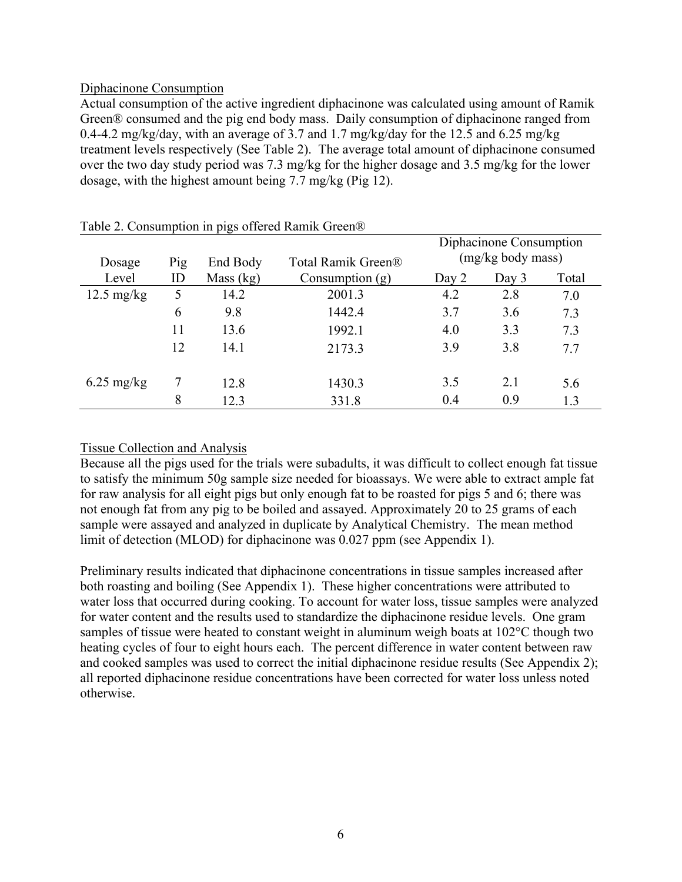#### Diphacinone Consumption

Actual consumption of the active ingredient diphacinone was calculated using amount of Ramik Green® consumed and the pig end body mass. Daily consumption of diphacinone ranged from 0.4-4.2 mg/kg/day, with an average of 3.7 and 1.7 mg/kg/day for the 12.5 and 6.25 mg/kg treatment levels respectively (See Table 2). The average total amount of diphacinone consumed over the two day study period was 7.3 mg/kg for the higher dosage and 3.5 mg/kg for the lower dosage, with the highest amount being 7.7 mg/kg (Pig 12).

|                      | л.  | . U       |                    |       | Diphacinone Consumption |       |
|----------------------|-----|-----------|--------------------|-------|-------------------------|-------|
| Dosage               | Pig | End Body  | Total Ramik Green® |       | (mg/kg body mass)       |       |
| Level                | ID  | Mass (kg) | Consumption $(g)$  | Day 2 | Day 3                   | Total |
| $12.5 \text{ mg/kg}$ | 5   | 14.2      | 2001.3             | 4.2   | 2.8                     | 7.0   |
|                      | 6   | 9.8       | 1442.4             | 3.7   | 3.6                     | 7.3   |
|                      | 11  | 13.6      | 1992.1             | 4.0   | 3.3                     | 7.3   |
|                      | 12  | 14.1      | 2173.3             | 3.9   | 3.8                     | 7.7   |
| $6.25 \text{ mg/kg}$ |     | 12.8      | 1430.3             | 3.5   | 2.1                     | 5.6   |
|                      | 8   | 12.3      | 331.8              | 0.4   | 0.9                     | 1.3   |

Table 2. Consumption in pigs offered Ramik Green®

## Tissue Collection and Analysis

Because all the pigs used for the trials were subadults, it was difficult to collect enough fat tissue to satisfy the minimum 50g sample size needed for bioassays. We were able to extract ample fat for raw analysis for all eight pigs but only enough fat to be roasted for pigs 5 and 6; there was not enough fat from any pig to be boiled and assayed. Approximately 20 to 25 grams of each sample were assayed and analyzed in duplicate by Analytical Chemistry. The mean method limit of detection (MLOD) for diphacinone was 0.027 ppm (see Appendix 1).

Preliminary results indicated that diphacinone concentrations in tissue samples increased after both roasting and boiling (See Appendix 1). These higher concentrations were attributed to water loss that occurred during cooking. To account for water loss, tissue samples were analyzed for water content and the results used to standardize the diphacinone residue levels. One gram samples of tissue were heated to constant weight in aluminum weigh boats at 102<sup>o</sup>C though two heating cycles of four to eight hours each. The percent difference in water content between raw and cooked samples was used to correct the initial diphacinone residue results (See Appendix 2); all reported diphacinone residue concentrations have been corrected for water loss unless noted otherwise.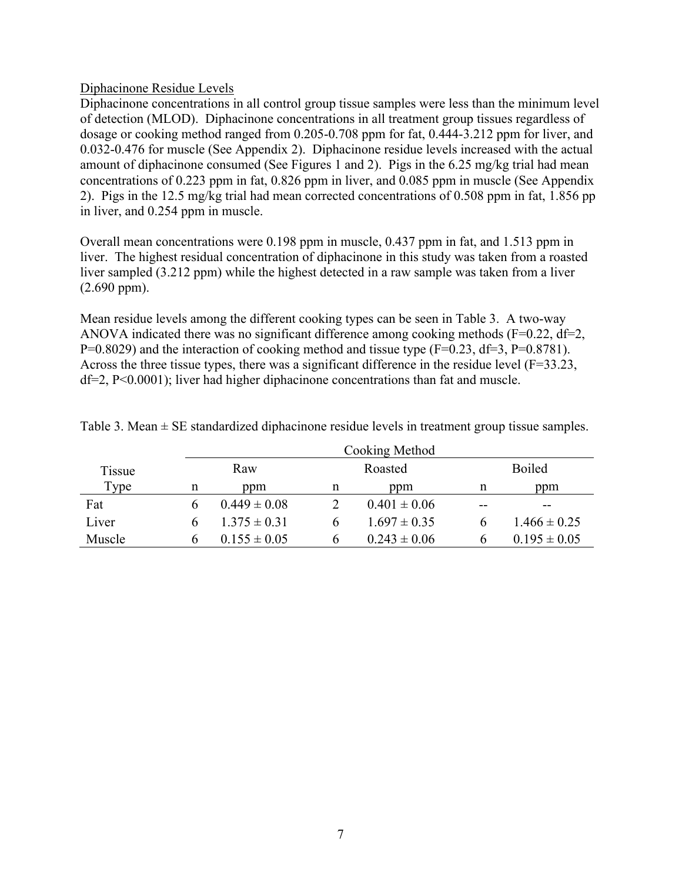#### Diphacinone Residue Levels

Diphacinone concentrations in all control group tissue samples were less than the minimum level of detection (MLOD). Diphacinone concentrations in all treatment group tissues regardless of dosage or cooking method ranged from 0.205-0.708 ppm for fat, 0.444-3.212 ppm for liver, and 0.032-0.476 for muscle (See Appendix 2). Diphacinone residue levels increased with the actual amount of diphacinone consumed (See Figures 1 and 2). Pigs in the 6.25 mg/kg trial had mean concentrations of 0.223 ppm in fat, 0.826 ppm in liver, and 0.085 ppm in muscle (See Appendix 2). Pigs in the 12.5 mg/kg trial had mean corrected concentrations of 0.508 ppm in fat, 1.856 pp in liver, and 0.254 ppm in muscle.

Overall mean concentrations were 0.198 ppm in muscle, 0.437 ppm in fat, and 1.513 ppm in liver. The highest residual concentration of diphacinone in this study was taken from a roasted liver sampled (3.212 ppm) while the highest detected in a raw sample was taken from a liver (2.690 ppm).

Mean residue levels among the different cooking types can be seen in Table 3. A two-way ANOVA indicated there was no significant difference among cooking methods (F=0.22, df=2, P=0.8029) and the interaction of cooking method and tissue type  $(F=0.23, df=3, P=0.8781)$ . Across the three tissue types, there was a significant difference in the residue level (F=33.23, df=2, P<0.0001); liver had higher diphacinone concentrations than fat and muscle.

|        |   | Cooking Method   |   |                  |    |                  |
|--------|---|------------------|---|------------------|----|------------------|
| Tissue |   | Raw              |   | Roasted          |    | <b>Boiled</b>    |
| Type   | n | ppm              | n | ppm              | n  | ppm              |
| Fat    |   | $0.449 \pm 0.08$ |   | $0.401 \pm 0.06$ | -- | $- -$            |
| Liver  |   | $1.375 \pm 0.31$ |   | $1.697 \pm 0.35$ |    | $1.466 \pm 0.25$ |
| Muscle |   | $0.155 \pm 0.05$ |   | $0.243 \pm 0.06$ |    | $0.195 \pm 0.05$ |

Table 3. Mean  $\pm$  SE standardized diphacinone residue levels in treatment group tissue samples.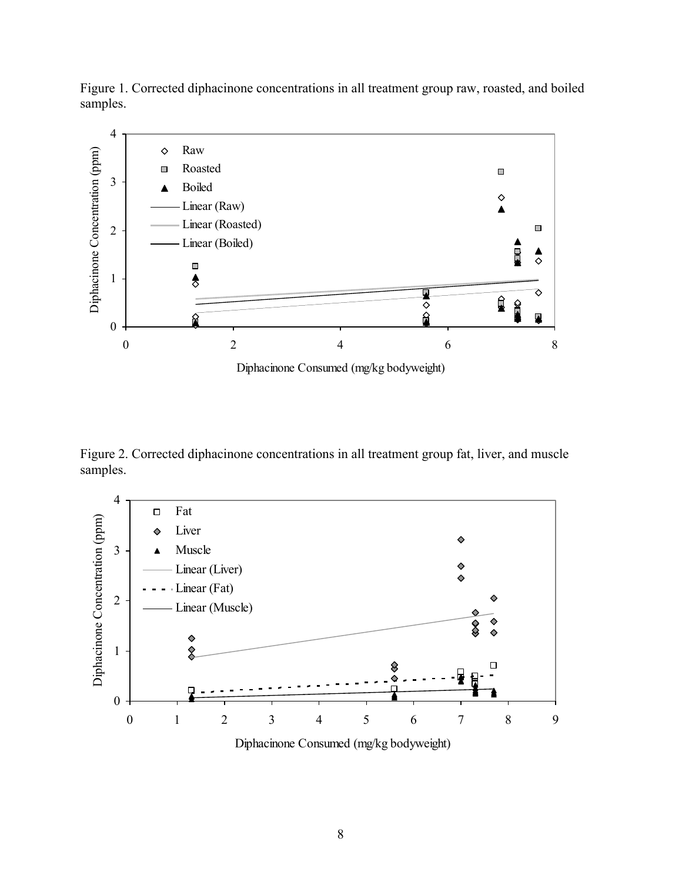



Diphacinone Consumed (mg/kg bodyweight)

Figure 2. Corrected diphacinone concentrations in all treatment group fat, liver, and muscle samples.



Diphacinone Consumed (mg/kg bodyweight)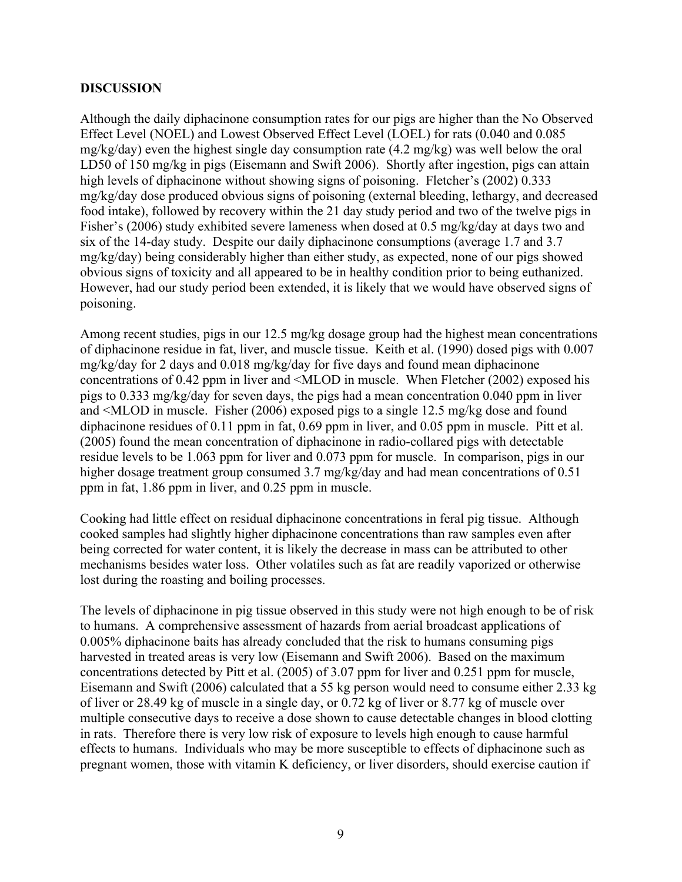#### **DISCUSSION**

Although the daily diphacinone consumption rates for our pigs are higher than the No Observed Effect Level (NOEL) and Lowest Observed Effect Level (LOEL) for rats (0.040 and 0.085 mg/kg/day) even the highest single day consumption rate (4.2 mg/kg) was well below the oral LD50 of 150 mg/kg in pigs (Eisemann and Swift 2006). Shortly after ingestion, pigs can attain high levels of diphacinone without showing signs of poisoning. Fletcher's (2002) 0.333 mg/kg/day dose produced obvious signs of poisoning (external bleeding, lethargy, and decreased food intake), followed by recovery within the 21 day study period and two of the twelve pigs in Fisher's (2006) study exhibited severe lameness when dosed at 0.5 mg/kg/day at days two and six of the 14-day study. Despite our daily diphacinone consumptions (average 1.7 and 3.7 mg/kg/day) being considerably higher than either study, as expected, none of our pigs showed obvious signs of toxicity and all appeared to be in healthy condition prior to being euthanized. However, had our study period been extended, it is likely that we would have observed signs of poisoning.

Among recent studies, pigs in our 12.5 mg/kg dosage group had the highest mean concentrations of diphacinone residue in fat, liver, and muscle tissue. Keith et al. (1990) dosed pigs with 0.007 mg/kg/day for 2 days and 0.018 mg/kg/day for five days and found mean diphacinone concentrations of 0.42 ppm in liver and <MLOD in muscle. When Fletcher (2002) exposed his pigs to 0.333 mg/kg/day for seven days, the pigs had a mean concentration 0.040 ppm in liver and <MLOD in muscle. Fisher (2006) exposed pigs to a single 12.5 mg/kg dose and found diphacinone residues of 0.11 ppm in fat, 0.69 ppm in liver, and 0.05 ppm in muscle. Pitt et al. (2005) found the mean concentration of diphacinone in radio-collared pigs with detectable residue levels to be 1.063 ppm for liver and 0.073 ppm for muscle. In comparison, pigs in our higher dosage treatment group consumed 3.7 mg/kg/day and had mean concentrations of 0.51 ppm in fat, 1.86 ppm in liver, and 0.25 ppm in muscle.

Cooking had little effect on residual diphacinone concentrations in feral pig tissue. Although cooked samples had slightly higher diphacinone concentrations than raw samples even after being corrected for water content, it is likely the decrease in mass can be attributed to other mechanisms besides water loss. Other volatiles such as fat are readily vaporized or otherwise lost during the roasting and boiling processes.

The levels of diphacinone in pig tissue observed in this study were not high enough to be of risk to humans. A comprehensive assessment of hazards from aerial broadcast applications of 0.005% diphacinone baits has already concluded that the risk to humans consuming pigs harvested in treated areas is very low (Eisemann and Swift 2006). Based on the maximum concentrations detected by Pitt et al. (2005) of 3.07 ppm for liver and 0.251 ppm for muscle, Eisemann and Swift (2006) calculated that a 55 kg person would need to consume either 2.33 kg of liver or 28.49 kg of muscle in a single day, or 0.72 kg of liver or 8.77 kg of muscle over multiple consecutive days to receive a dose shown to cause detectable changes in blood clotting in rats. Therefore there is very low risk of exposure to levels high enough to cause harmful effects to humans. Individuals who may be more susceptible to effects of diphacinone such as pregnant women, those with vitamin K deficiency, or liver disorders, should exercise caution if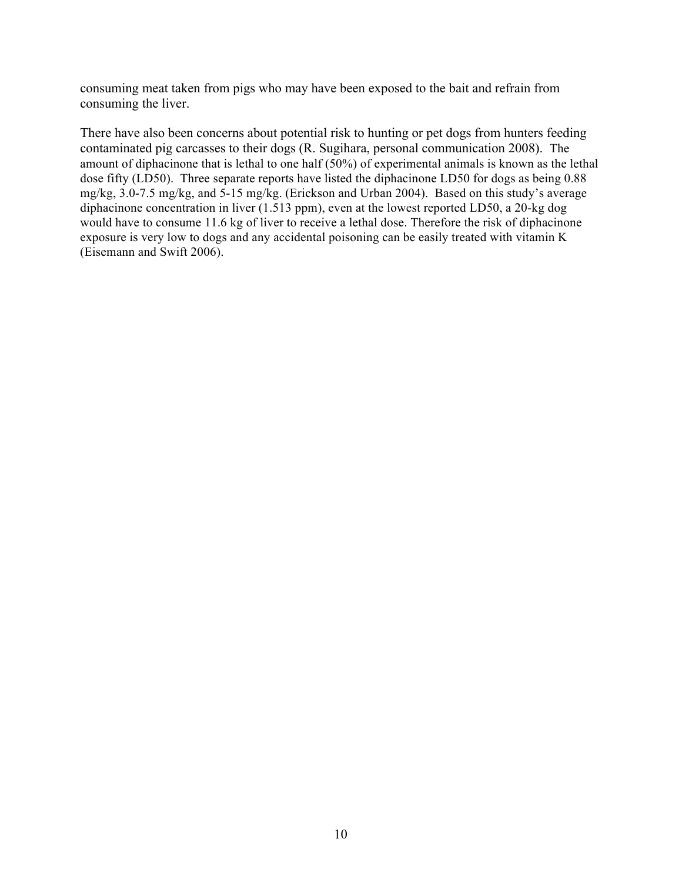consuming meat taken from pigs who may have been exposed to the bait and refrain from consuming the liver.

There have also been concerns about potential risk to hunting or pet dogs from hunters feeding contaminated pig carcasses to their dogs (R. Sugihara, personal communication 2008). The amount of diphacinone that is lethal to one half (50%) of experimental animals is known as the lethal dose fifty (LD50). Three separate reports have listed the diphacinone LD50 for dogs as being 0.88 mg/kg, 3.0-7.5 mg/kg, and 5-15 mg/kg. (Erickson and Urban 2004). Based on this study's average diphacinone concentration in liver (1.513 ppm), even at the lowest reported LD50, a 20-kg dog would have to consume 11.6 kg of liver to receive a lethal dose. Therefore the risk of diphacinone exposure is very low to dogs and any accidental poisoning can be easily treated with vitamin K (Eisemann and Swift 2006).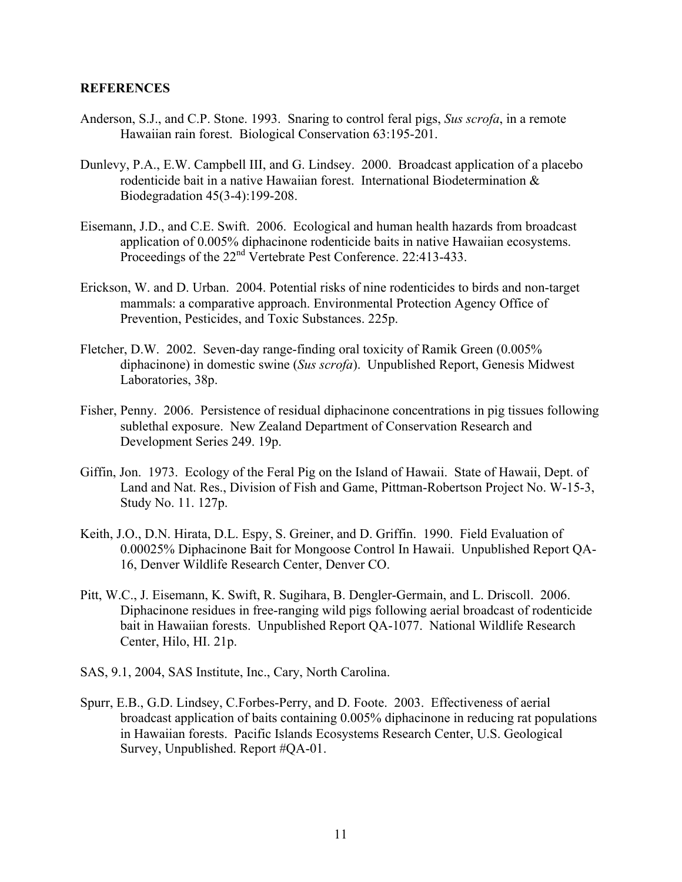#### **REFERENCES**

- Anderson, S.J., and C.P. Stone. 1993. Snaring to control feral pigs, *Sus scrofa*, in a remote Hawaiian rain forest. Biological Conservation 63:195-201.
- Dunlevy, P.A., E.W. Campbell III, and G. Lindsey. 2000. Broadcast application of a placebo rodenticide bait in a native Hawaiian forest. International Biodetermination & Biodegradation 45(3-4):199-208.
- Eisemann, J.D., and C.E. Swift. 2006. Ecological and human health hazards from broadcast application of 0.005% diphacinone rodenticide baits in native Hawaiian ecosystems. Proceedings of the 22<sup>nd</sup> Vertebrate Pest Conference. 22:413-433.
- Erickson, W. and D. Urban. 2004. Potential risks of nine rodenticides to birds and non-target mammals: a comparative approach. Environmental Protection Agency Office of Prevention, Pesticides, and Toxic Substances. 225p.
- Fletcher, D.W. 2002. Seven-day range-finding oral toxicity of Ramik Green (0.005% diphacinone) in domestic swine (*Sus scrofa*). Unpublished Report, Genesis Midwest Laboratories, 38p.
- Fisher, Penny. 2006. Persistence of residual diphacinone concentrations in pig tissues following sublethal exposure. New Zealand Department of Conservation Research and Development Series 249. 19p.
- Giffin, Jon. 1973. Ecology of the Feral Pig on the Island of Hawaii. State of Hawaii, Dept. of Land and Nat. Res., Division of Fish and Game, Pittman-Robertson Project No. W-15-3, Study No. 11. 127p.
- Keith, J.O., D.N. Hirata, D.L. Espy, S. Greiner, and D. Griffin. 1990. Field Evaluation of 0.00025% Diphacinone Bait for Mongoose Control In Hawaii. Unpublished Report QA-16, Denver Wildlife Research Center, Denver CO.
- Pitt, W.C., J. Eisemann, K. Swift, R. Sugihara, B. Dengler-Germain, and L. Driscoll. 2006. Diphacinone residues in free-ranging wild pigs following aerial broadcast of rodenticide bait in Hawaiian forests. Unpublished Report QA-1077. National Wildlife Research Center, Hilo, HI. 21p.
- SAS, 9.1, 2004, SAS Institute, Inc., Cary, North Carolina.
- Spurr, E.B., G.D. Lindsey, C.Forbes-Perry, and D. Foote. 2003. Effectiveness of aerial broadcast application of baits containing 0.005% diphacinone in reducing rat populations in Hawaiian forests. Pacific Islands Ecosystems Research Center, U.S. Geological Survey, Unpublished. Report #QA-01.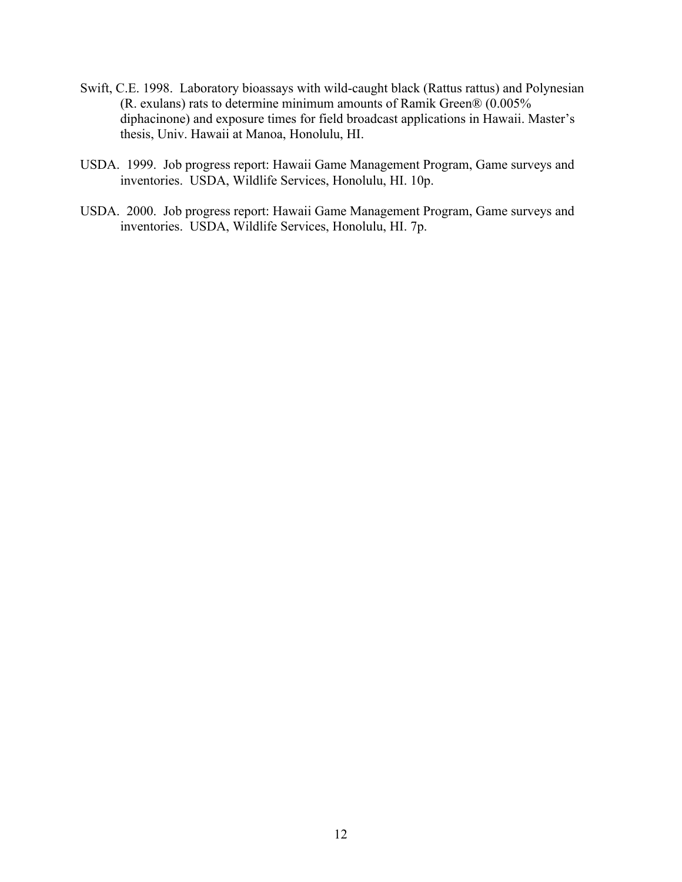- Swift, C.E. 1998. Laboratory bioassays with wild-caught black (Rattus rattus) and Polynesian (R. exulans) rats to determine minimum amounts of Ramik Green® (0.005% diphacinone) and exposure times for field broadcast applications in Hawaii. Master's thesis, Univ. Hawaii at Manoa, Honolulu, HI.
- USDA. 1999. Job progress report: Hawaii Game Management Program, Game surveys and inventories. USDA, Wildlife Services, Honolulu, HI. 10p.
- USDA. 2000. Job progress report: Hawaii Game Management Program, Game surveys and inventories. USDA, Wildlife Services, Honolulu, HI. 7p.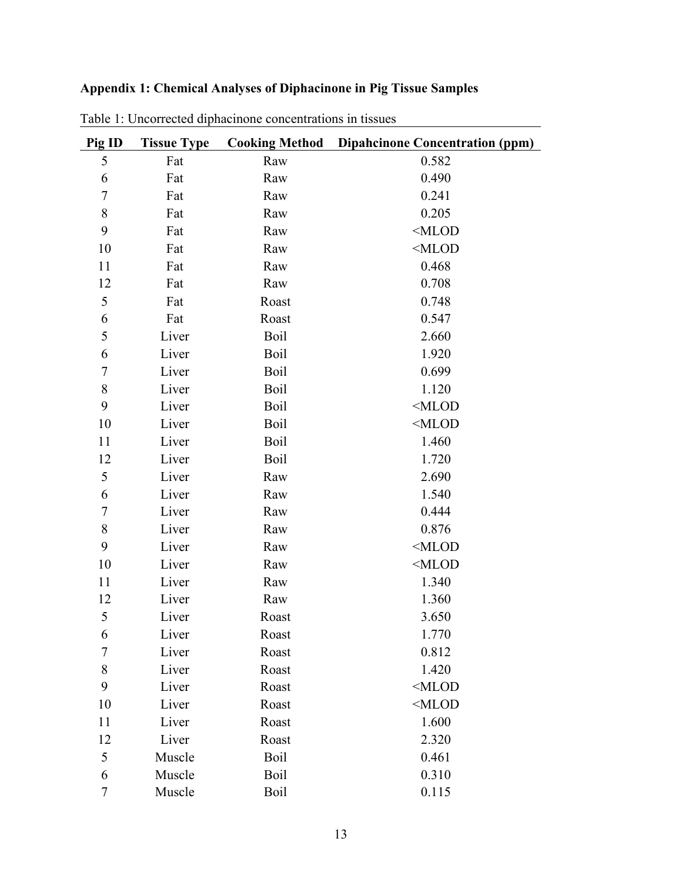# **Appendix 1: Chemical Analyses of Diphacinone in Pig Tissue Samples**

| Pig ID           | <b>Tissue Type</b> |       | <b>Cooking Method</b> Dipahcinone Concentration (ppm) |
|------------------|--------------------|-------|-------------------------------------------------------|
| 5                | Fat                | Raw   | 0.582                                                 |
| 6                | Fat                | Raw   | 0.490                                                 |
| $\boldsymbol{7}$ | Fat                | Raw   | 0.241                                                 |
| $\,8$            | Fat                | Raw   | 0.205                                                 |
| 9                | Fat                | Raw   | $<$ MLOD                                              |
| 10               | Fat                | Raw   | $<$ MLOD                                              |
| 11               | Fat                | Raw   | 0.468                                                 |
| 12               | Fat                | Raw   | 0.708                                                 |
| 5                | Fat                | Roast | 0.748                                                 |
| 6                | Fat                | Roast | 0.547                                                 |
| 5                | Liver              | Boil  | 2.660                                                 |
| 6                | Liver              | Boil  | 1.920                                                 |
| $\boldsymbol{7}$ | Liver              | Boil  | 0.699                                                 |
| $\,8\,$          | Liver              | Boil  | 1.120                                                 |
| 9                | Liver              | Boil  | $<$ MLOD                                              |
| 10               | Liver              | Boil  | $<$ MLOD                                              |
| 11               | Liver              | Boil  | 1.460                                                 |
| 12               | Liver              | Boil  | 1.720                                                 |
| 5                | Liver              | Raw   | 2.690                                                 |
| 6                | Liver              | Raw   | 1.540                                                 |
| $\boldsymbol{7}$ | Liver              | Raw   | 0.444                                                 |
| $\,8$            | Liver              | Raw   | 0.876                                                 |
| 9                | Liver              | Raw   | $<$ MLOD                                              |
| 10               | Liver              | Raw   | $<$ MLOD                                              |
| 11               | Liver              | Raw   | 1.340                                                 |
| 12               | Liver              | Raw   | 1.360                                                 |
| 5                | Liver              | Roast | 3.650                                                 |
| 6                | Liver              | Roast | 1.770                                                 |
| 7                | Liver              | Roast | 0.812                                                 |
| $8\,$            | Liver              | Roast | 1.420                                                 |
| 9                | Liver              | Roast | $<$ MLOD                                              |
| 10               | Liver              | Roast | $<$ MLOD                                              |
| 11               | Liver              | Roast | 1.600                                                 |
| 12               | Liver              | Roast | 2.320                                                 |
| 5                | Muscle             | Boil  | 0.461                                                 |
| 6                | Muscle             | Boil  | 0.310                                                 |
| 7                | Muscle             | Boil  | 0.115                                                 |

Table 1: Uncorrected diphacinone concentrations in tissues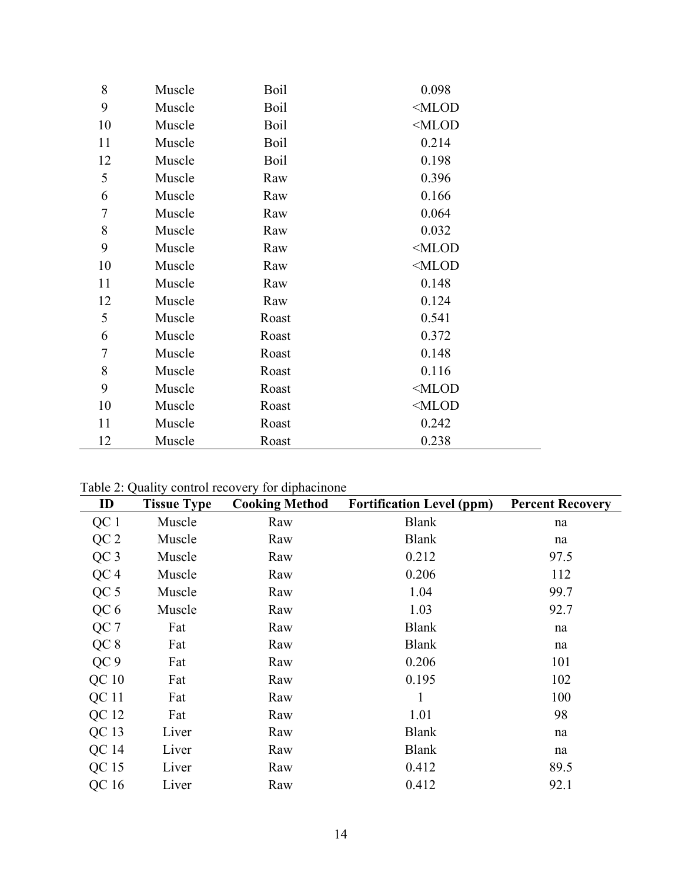| 8  | Muscle | Boil  | 0.098    |
|----|--------|-------|----------|
| 9  | Muscle | Boil  | $<$ MLOD |
| 10 | Muscle | Boil  | $<$ MLOD |
| 11 | Muscle | Boil  | 0.214    |
| 12 | Muscle | Boil  | 0.198    |
| 5  | Muscle | Raw   | 0.396    |
| 6  | Muscle | Raw   | 0.166    |
| 7  | Muscle | Raw   | 0.064    |
| 8  | Muscle | Raw   | 0.032    |
| 9  | Muscle | Raw   | $<$ MLOD |
| 10 | Muscle | Raw   | $<$ MLOD |
| 11 | Muscle | Raw   | 0.148    |
| 12 | Muscle | Raw   | 0.124    |
| 5  | Muscle | Roast | 0.541    |
| 6  | Muscle | Roast | 0.372    |
| 7  | Muscle | Roast | 0.148    |
| 8  | Muscle | Roast | 0.116    |
| 9  | Muscle | Roast | $<$ MLOD |
| 10 | Muscle | Roast | $<$ MLOD |
| 11 | Muscle | Roast | 0.242    |
| 12 | Muscle | Roast | 0.238    |

Table 2: Quality control recovery for diphacinone

 $\overline{\phantom{0}}$ 

| ID               | <b>Tissue Type</b> | <b>Cooking Method</b> | <b>Fortification Level (ppm)</b> | <b>Percent Recovery</b> |
|------------------|--------------------|-----------------------|----------------------------------|-------------------------|
| QC 1             | Muscle             | Raw                   | <b>Blank</b>                     | na                      |
| QC <sub>2</sub>  | Muscle             | Raw                   | <b>Blank</b>                     | na                      |
| QC <sub>3</sub>  | Muscle             | Raw                   | 0.212                            | 97.5                    |
| QC <sub>4</sub>  | Muscle             | Raw                   | 0.206                            | 112                     |
| QC <sub>5</sub>  | Muscle             | Raw                   | 1.04                             | 99.7                    |
| QC <sub>6</sub>  | Muscle             | Raw                   | 1.03                             | 92.7                    |
| QC 7             | Fat                | Raw                   | <b>Blank</b>                     | na                      |
| QC8              | Fat                | Raw                   | <b>Blank</b>                     | na                      |
| QC <sub>9</sub>  | Fat                | Raw                   | 0.206                            | 101                     |
| QC <sub>10</sub> | Fat                | Raw                   | 0.195                            | 102                     |
| QC 11            | Fat                | Raw                   |                                  | 100                     |
| QC 12            | Fat                | Raw                   | 1.01                             | 98                      |
| QC <sub>13</sub> | Liver              | Raw                   | <b>Blank</b>                     | na                      |
| QC 14            | Liver              | Raw                   | <b>Blank</b>                     | na                      |
| QC 15            | Liver              | Raw                   | 0.412                            | 89.5                    |
| QC 16            | Liver              | Raw                   | 0.412                            | 92.1                    |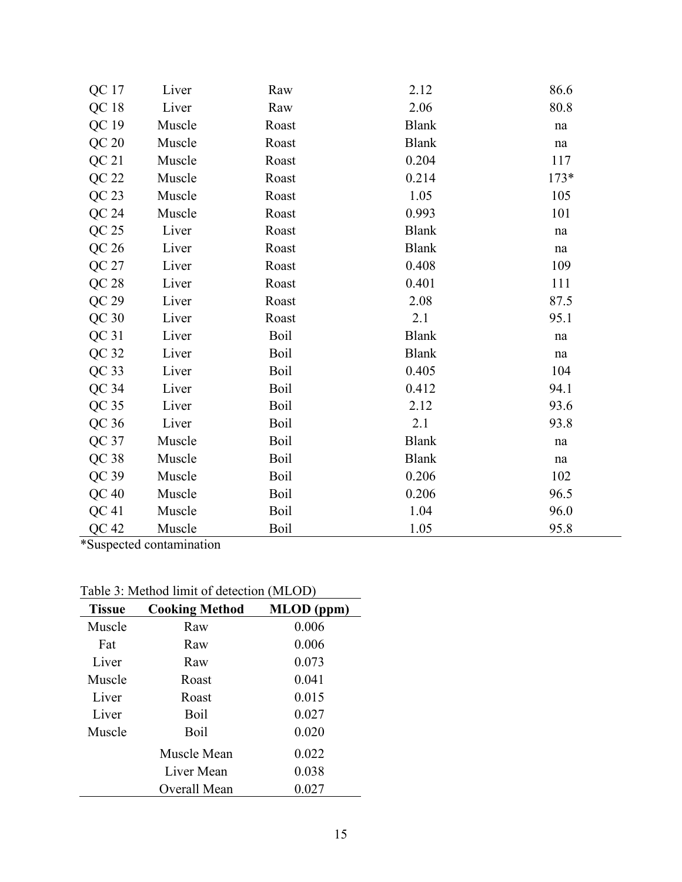| QC 17            | Liver  | Raw         | 2.12         | 86.6                |
|------------------|--------|-------------|--------------|---------------------|
| QC <sub>18</sub> | Liver  | Raw         | 2.06         | 80.8                |
| QC 19            | Muscle | Roast       | <b>Blank</b> | $\operatorname{na}$ |
| QC 20            | Muscle | Roast       | <b>Blank</b> | $\operatorname{na}$ |
| QC <sub>21</sub> | Muscle | Roast       | 0.204        | 117                 |
| QC 22            | Muscle | Roast       | 0.214        | $173*$              |
| $QC$ 23          | Muscle | Roast       | 1.05         | 105                 |
| QC 24            | Muscle | Roast       | 0.993        | 101                 |
| QC 25            | Liver  | Roast       | <b>Blank</b> | na                  |
| QC <sub>26</sub> | Liver  | Roast       | <b>Blank</b> | na                  |
| QC 27            | Liver  | Roast       | 0.408        | 109                 |
| QC 28            | Liver  | Roast       | 0.401        | 111                 |
| QC 29            | Liver  | Roast       | 2.08         | 87.5                |
| QC30             | Liver  | Roast       | 2.1          | 95.1                |
| QC31             | Liver  | Boil        | <b>Blank</b> | na                  |
| QC 32            | Liver  | Boil        | <b>Blank</b> | na                  |
| $QC$ 33          | Liver  | Boil        | 0.405        | 104                 |
| QC 34            | Liver  | <b>Boil</b> | 0.412        | 94.1                |
| QC <sub>35</sub> | Liver  | Boil        | 2.12         | 93.6                |
| QC 36            | Liver  | Boil        | 2.1          | 93.8                |
| QC 37            | Muscle | Boil        | <b>Blank</b> | $\operatorname{na}$ |
| QC <sub>38</sub> | Muscle | Boil        | <b>Blank</b> | $\operatorname{na}$ |
| $QC$ 39          | Muscle | Boil        | 0.206        | 102                 |
| QC40             | Muscle | Boil        | 0.206        | 96.5                |
| QC <sub>41</sub> | Muscle | Boil        | 1.04         | 96.0                |
| QC 42            | Muscle | Boil        | 1.05         | 95.8                |

L,

\*Suspected contamination

| <b>Tissue</b> | <b>Cooking Method</b> | MLOD (ppm) |
|---------------|-----------------------|------------|
| Muscle        | Raw                   | 0.006      |
| Fat           | Raw                   | 0.006      |
| Liver         | Raw                   | 0.073      |
| Muscle        | Roast                 | 0.041      |
| Liver         | Roast                 | 0.015      |
| Liver         | Boil                  | 0.027      |
| Muscle        | Boil                  | 0.020      |
|               | Muscle Mean           | 0.022      |
|               | Liver Mean            | 0.038      |
|               | Overall Mean          | 0.027      |

Table 3: Method limit of detection (MLOD)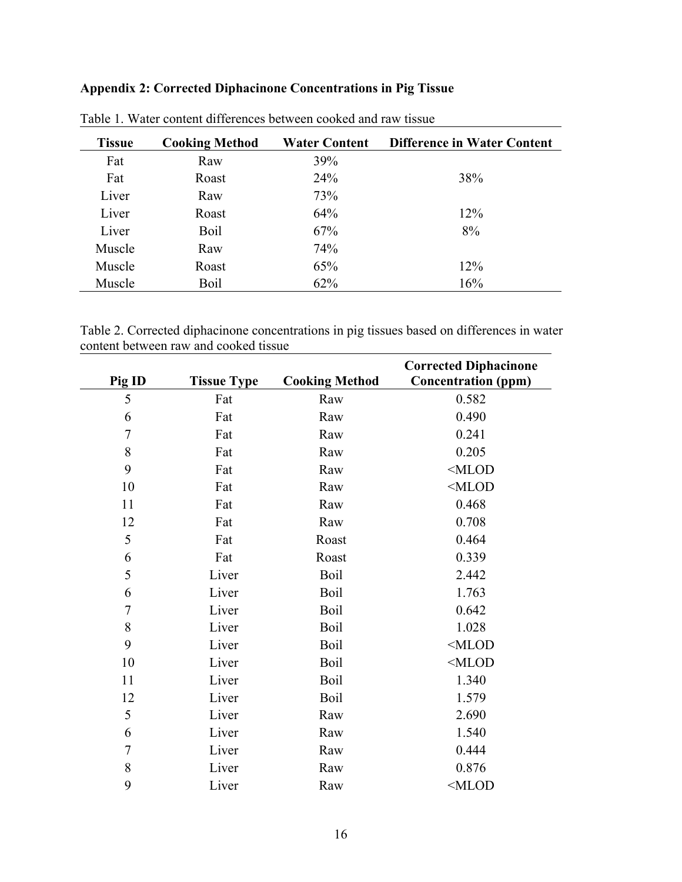# **Appendix 2: Corrected Diphacinone Concentrations in Pig Tissue**

| <b>Tissue</b> | <b>Cooking Method</b> | <b>Water Content</b> | <b>Difference in Water Content</b> |
|---------------|-----------------------|----------------------|------------------------------------|
| Fat           | Raw                   | 39%                  |                                    |
| Fat           | Roast                 | 24%                  | 38%                                |
| Liver         | Raw                   | 73%                  |                                    |
| Liver         | Roast                 | 64%                  | 12%                                |
| Liver         | <b>Boil</b>           | 67%                  | 8%                                 |
| Muscle        | Raw                   | 74%                  |                                    |
| Muscle        | Roast                 | 65%                  | 12%                                |
| Muscle        | Boil                  | 62%                  | 16%                                |

| Table 1. Water content differences between cooked and raw tissue |  |
|------------------------------------------------------------------|--|
|------------------------------------------------------------------|--|

Table 2. Corrected diphacinone concentrations in pig tissues based on differences in water content between raw and cooked tissue

|                  |                    |                       | <b>Corrected Diphacinone</b> |
|------------------|--------------------|-----------------------|------------------------------|
| Pig ID           | <b>Tissue Type</b> | <b>Cooking Method</b> | <b>Concentration (ppm)</b>   |
| 5                | Fat                | Raw                   | 0.582                        |
| 6                | Fat                | Raw                   | 0.490                        |
| $\boldsymbol{7}$ | Fat                | Raw                   | 0.241                        |
| 8                | Fat                | Raw                   | 0.205                        |
| 9                | Fat                | Raw                   | $<$ MLOD                     |
| 10               | Fat                | Raw                   | MLOD                         |
| 11               | Fat                | Raw                   | 0.468                        |
| 12               | Fat                | Raw                   | 0.708                        |
| 5                | Fat                | Roast                 | 0.464                        |
| 6                | Fat                | Roast                 | 0.339                        |
| 5                | Liver              | Boil                  | 2.442                        |
| 6                | Liver              | <b>Boil</b>           | 1.763                        |
| $\overline{7}$   | Liver              | Boil                  | 0.642                        |
| 8                | Liver              | Boil                  | 1.028                        |
| 9                | Liver              | <b>Boil</b>           | $<$ MLOD                     |
| 10               | Liver              | Boil                  | $<$ MLOD                     |
| 11               | Liver              | Boil                  | 1.340                        |
| 12               | Liver              | Boil                  | 1.579                        |
| 5                | Liver              | Raw                   | 2.690                        |
| 6                | Liver              | Raw                   | 1.540                        |
| $\overline{7}$   | Liver              | Raw                   | 0.444                        |
| $8\,$            | Liver              | Raw                   | 0.876                        |
| 9                | Liver              | Raw                   | MLOD                         |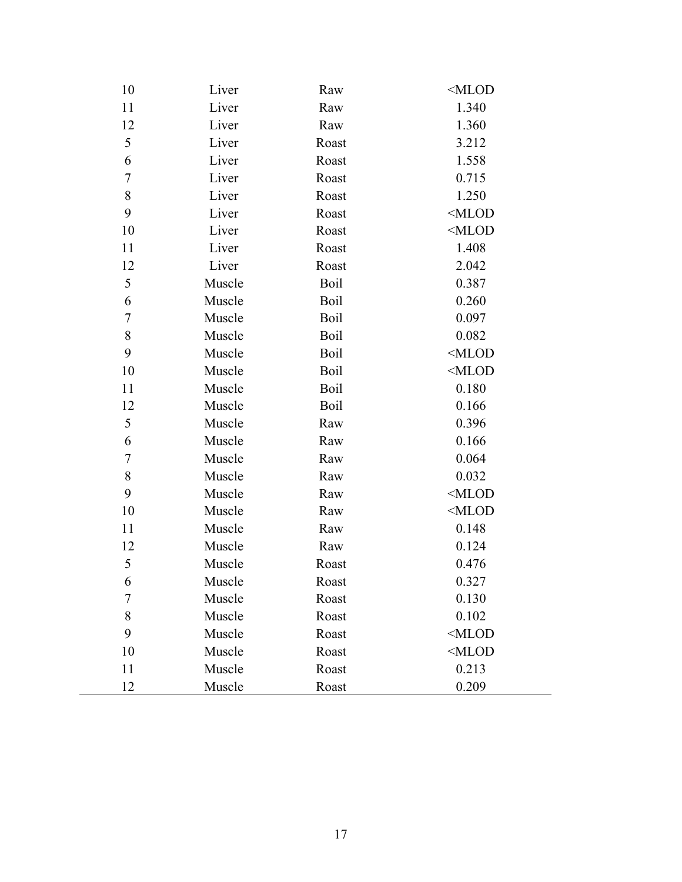| 10    | Liver  | Raw   | <mlod< th=""></mlod<> |
|-------|--------|-------|-----------------------|
| 11    | Liver  | Raw   | 1.340                 |
| 12    | Liver  | Raw   | 1.360                 |
| 5     | Liver  | Roast | 3.212                 |
| 6     | Liver  | Roast | 1.558                 |
| 7     | Liver  | Roast | 0.715                 |
| $8\,$ | Liver  | Roast | 1.250                 |
| 9     | Liver  | Roast | $<$ MLOD              |
| 10    | Liver  | Roast | $<$ MLOD              |
| 11    | Liver  | Roast | 1.408                 |
| 12    | Liver  | Roast | 2.042                 |
| 5     | Muscle | Boil  | 0.387                 |
| 6     | Muscle | Boil  | 0.260                 |
| 7     | Muscle | Boil  | 0.097                 |
| $8\,$ | Muscle | Boil  | 0.082                 |
| 9     | Muscle | Boil  | $<$ MLOD              |
| 10    | Muscle | Boil  | $<$ MLOD              |
| 11    | Muscle | Boil  | 0.180                 |
| 12    | Muscle | Boil  | 0.166                 |
| 5     | Muscle | Raw   | 0.396                 |
| 6     | Muscle | Raw   | 0.166                 |
| 7     | Muscle | Raw   | 0.064                 |
| $8\,$ | Muscle | Raw   | 0.032                 |
| 9     | Muscle | Raw   | $<$ MLOD              |
| 10    | Muscle | Raw   | $<$ MLOD              |
| 11    | Muscle | Raw   | 0.148                 |
| 12    | Muscle | Raw   | 0.124                 |
| 5     | Muscle | Roast | 0.476                 |
| 6     | Muscle | Roast | 0.327                 |
| 7     | Muscle | Roast | 0.130                 |
| 8     | Muscle | Roast | 0.102                 |
| 9     | Muscle | Roast | $<$ MLOD              |
| 10    | Muscle | Roast | $<$ MLOD              |
| 11    | Muscle | Roast | 0.213                 |
| 12    | Muscle | Roast | 0.209                 |